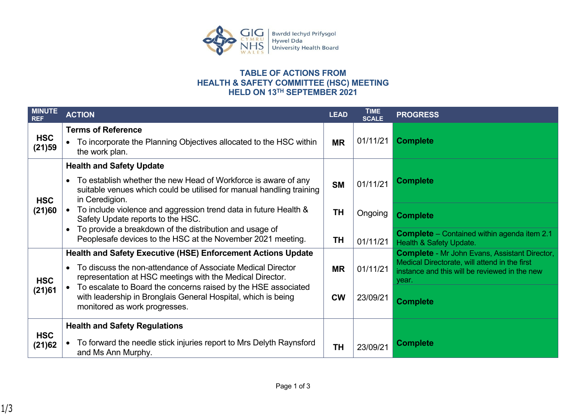

## **TABLE OF ACTIONS FROM HEALTH & SAFETY COMMITTEE (HSC) MEETING HELD ON 13TH SEPTEMBER 2021**

| <b>MINUTE</b><br><b>REF</b> | <b>ACTION</b>                                                                                                                                                                                                | <b>LEAD</b> | <b>TIME</b><br><b>SCALE</b> | <b>PROGRESS</b>                                                                                                                                                 |
|-----------------------------|--------------------------------------------------------------------------------------------------------------------------------------------------------------------------------------------------------------|-------------|-----------------------------|-----------------------------------------------------------------------------------------------------------------------------------------------------------------|
| <b>HSC</b><br>(21)59        | <b>Terms of Reference</b><br>To incorporate the Planning Objectives allocated to the HSC within<br>the work plan.                                                                                            | <b>MR</b>   | 01/11/21                    | <b>Complete</b>                                                                                                                                                 |
| <b>HSC</b><br>(21)60        | <b>Health and Safety Update</b><br>To establish whether the new Head of Workforce is aware of any<br>$\bullet$<br>suitable venues which could be utilised for manual handling training<br>in Ceredigion.     | <b>SM</b>   | 01/11/21                    | <b>Complete</b>                                                                                                                                                 |
|                             | To include violence and aggression trend data in future Health &<br>Safety Update reports to the HSC.                                                                                                        | <b>TH</b>   | Ongoing                     | <b>Complete</b>                                                                                                                                                 |
|                             | To provide a breakdown of the distribution and usage of<br>$\bullet$<br>Peoplesafe devices to the HSC at the November 2021 meeting.                                                                          | TH          | 01/11/21                    | <b>Complete</b> - Contained within agenda item 2.1<br><b>Health &amp; Safety Update.</b>                                                                        |
| <b>HSC</b><br>(21)61        | <b>Health and Safety Executive (HSE) Enforcement Actions Update</b><br>To discuss the non-attendance of Associate Medical Director<br>$\bullet$<br>representation at HSC meetings with the Medical Director. | <b>MR</b>   | 01/11/21                    | <b>Complete - Mr John Evans, Assistant Director,</b><br>Medical Directorate, will attend in the first<br>instance and this will be reviewed in the new<br>vear. |
|                             | To escalate to Board the concerns raised by the HSE associated<br>with leadership in Bronglais General Hospital, which is being<br>monitored as work progresses.                                             | <b>CW</b>   | 23/09/21                    | <b>Complete</b>                                                                                                                                                 |
|                             | <b>Health and Safety Regulations</b>                                                                                                                                                                         |             |                             |                                                                                                                                                                 |
| <b>HSC</b><br>(21)62        | To forward the needle stick injuries report to Mrs Delyth Raynsford<br>and Ms Ann Murphy.                                                                                                                    | <b>TH</b>   | 23/09/21                    | <b>Complete</b>                                                                                                                                                 |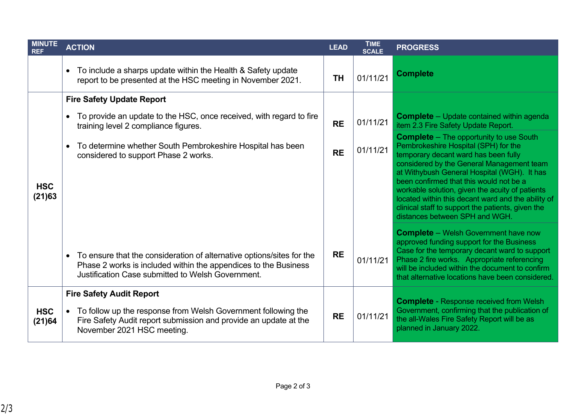| <b>MINUTE</b><br><b>REF</b> | <b>ACTION</b>                                                                                                                                                                                              | <b>LEAD</b> | <b>TIME</b><br><b>SCALE</b> | <b>PROGRESS</b>                                                                                                                                                                                                                                                                                                                                                                                                                                                       |
|-----------------------------|------------------------------------------------------------------------------------------------------------------------------------------------------------------------------------------------------------|-------------|-----------------------------|-----------------------------------------------------------------------------------------------------------------------------------------------------------------------------------------------------------------------------------------------------------------------------------------------------------------------------------------------------------------------------------------------------------------------------------------------------------------------|
|                             | To include a sharps update within the Health & Safety update<br>report to be presented at the HSC meeting in November 2021.                                                                                | <b>TH</b>   | 01/11/21                    | <b>Complete</b>                                                                                                                                                                                                                                                                                                                                                                                                                                                       |
|                             | <b>Fire Safety Update Report</b>                                                                                                                                                                           |             |                             |                                                                                                                                                                                                                                                                                                                                                                                                                                                                       |
| <b>HSC</b><br>(21)63        | To provide an update to the HSC, once received, with regard to fire<br>training level 2 compliance figures.                                                                                                | <b>RE</b>   | 01/11/21                    | <b>Complete</b> - Update contained within agenda<br>item 2.3 Fire Safety Update Report.                                                                                                                                                                                                                                                                                                                                                                               |
|                             | To determine whether South Pembrokeshire Hospital has been<br>$\bullet$<br>considered to support Phase 2 works.                                                                                            | <b>RE</b>   | 01/11/21                    | <b>Complete</b> - The opportunity to use South<br>Pembrokeshire Hospital (SPH) for the<br>temporary decant ward has been fully<br>considered by the General Management team<br>at Withybush General Hospital (WGH). It has<br>been confirmed that this would not be a<br>workable solution, given the acuity of patients<br>located within this decant ward and the ability of<br>clinical staff to support the patients, given the<br>distances between SPH and WGH. |
|                             | To ensure that the consideration of alternative options/sites for the<br>$\bullet$<br>Phase 2 works is included within the appendices to the Business<br>Justification Case submitted to Welsh Government. | <b>RE</b>   | 01/11/21                    | <b>Complete</b> – Welsh Government have now<br>approved funding support for the Business<br>Case for the temporary decant ward to support<br>Phase 2 fire works. Appropriate referencing<br>will be included within the document to confirm<br>that alternative locations have been considered.                                                                                                                                                                       |
| <b>HSC</b><br>(21)64        | <b>Fire Safety Audit Report</b><br>• To follow up the response from Welsh Government following the<br>Fire Safety Audit report submission and provide an update at the<br>November 2021 HSC meeting.       | <b>RE</b>   | 01/11/21                    | <b>Complete - Response received from Welsh</b><br>Government, confirming that the publication of<br>the all-Wales Fire Safety Report will be as<br>planned in January 2022.                                                                                                                                                                                                                                                                                           |